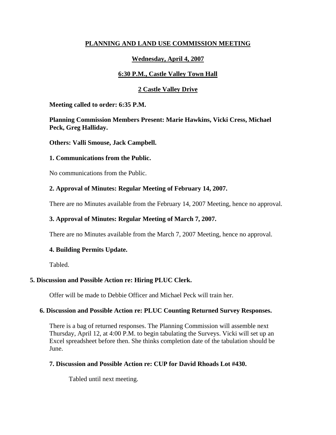## **PLANNING AND LAND USE COMMISSION MEETING**

# **Wednesday, April 4, 2007**

# **6:30 P.M., Castle Valley Town Hall**

# **2 Castle Valley Drive**

**Meeting called to order: 6:35 P.M.** 

**Planning Commission Members Present: Marie Hawkins, Vicki Cress, Michael Peck, Greg Halliday.**

**Others: Valli Smouse, Jack Campbell.**

#### **1. Communications from the Public.**

No communications from the Public.

### **2. Approval of Minutes: Regular Meeting of February 14, 2007.**

There are no Minutes available from the February 14, 2007 Meeting, hence no approval.

### **3. Approval of Minutes: Regular Meeting of March 7, 2007.**

There are no Minutes available from the March 7, 2007 Meeting, hence no approval.

### **4. Building Permits Update.**

Tabled.

### **5. Discussion and Possible Action re: Hiring PLUC Clerk.**

Offer will be made to Debbie Officer and Michael Peck will train her.

### **6. Discussion and Possible Action re: PLUC Counting Returned Survey Responses.**

There is a bag of returned responses. The Planning Commission will assemble next Thursday, April 12, at 4:00 P.M. to begin tabulating the Surveys. Vicki will set up an Excel spreadsheet before then. She thinks completion date of the tabulation should be June.

### **7. Discussion and Possible Action re: CUP for David Rhoads Lot #430.**

Tabled until next meeting.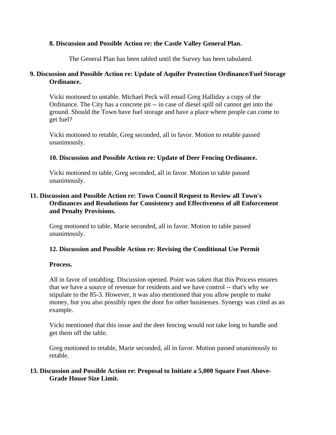#### **8. Discussion and Possible Action re: the Castle Valley General Plan.**

The General Plan has been tabled until the Survey has been tabulated.

#### **9. Discussion and Possible Action re: Update of Aquifer Protection Ordinance/Fuel Storage Ordinance.**

Vicki motioned to untable. Michael Peck will email Greg Halliday a copy of the Ordinance. The City has a concrete pit -- in case of diesel spill oil cannot get into the ground. Should the Town have fuel storage and have a place where people can come to get fuel?

Vicki motioned to retable, Greg seconded, all in favor. Motion to retable passed unanimously.

#### **10. Discussion and Possible Action re: Update of Deer Fencing Ordinance.**

Vicki motioned to table, Greg seconded, all in favor. Motion to table passed unanimously.

### **11. Discussion and Possible Action re: Town Council Request to Review all Town's Ordinances and Resolutions for Consistency and Effectiveness of all Enforcement and Penalty Provisions.**

Greg motioned to table, Marie seconded, all in favor. Motion to table passed unanimously.

#### **12. Discussion and Possible Action re: Revising the Conditional Use Permit**

#### **Process.**

All in favor of untabling. Discussion opened. Point was taken that this Process ensures that we have a source of revenue for residents and we have control -- that's why we stipulate to the 85-3. However, it was also mentioned that you allow people to make money, but you also possibly open the door for other businesses. Synergy was cited as an example.

Vicki mentioned that this issue and the deer fencing would not take long to handle and get them off the table.

Greg motioned to retable, Marie seconded, all in favor. Motion passed unanimously to retable.

#### **13. Discussion and Possible Action re: Proposal to Initiate a 5,000 Square Foot Above-Grade House Size Limit.**